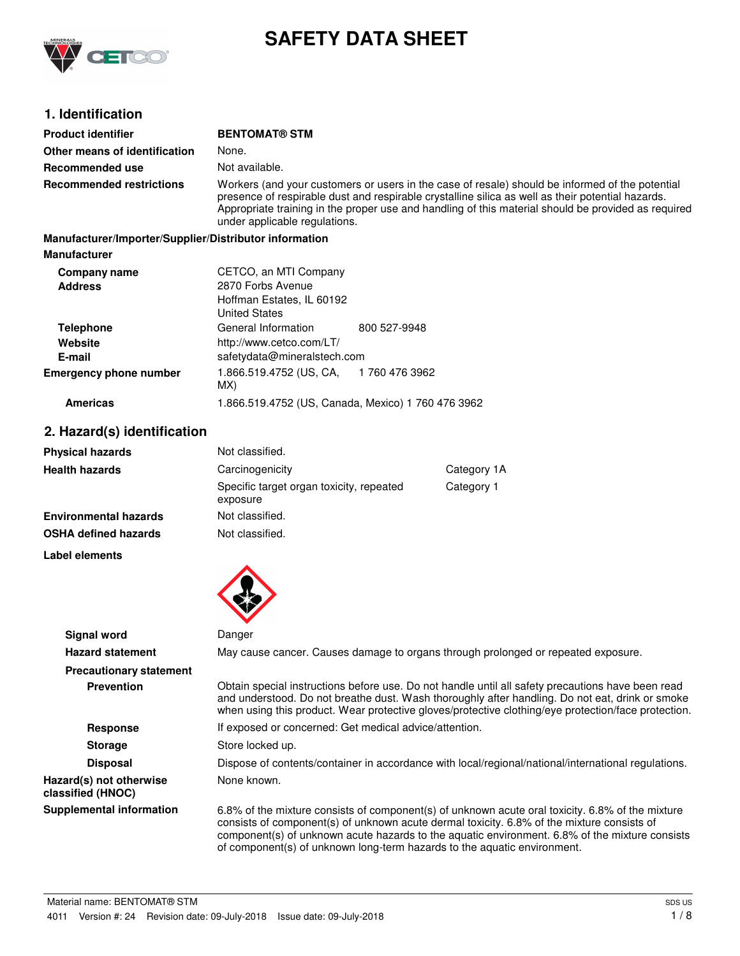

# **SAFETY DATA SHEET**

## **1. Identification**

| <b>Product identifier</b>                              | <b>BENTOMAT® STM</b>                                                   |                                                                                                                                                                                                                                                                                                             |
|--------------------------------------------------------|------------------------------------------------------------------------|-------------------------------------------------------------------------------------------------------------------------------------------------------------------------------------------------------------------------------------------------------------------------------------------------------------|
| Other means of identification                          | None.                                                                  |                                                                                                                                                                                                                                                                                                             |
| Recommended use                                        | Not available.                                                         |                                                                                                                                                                                                                                                                                                             |
| <b>Recommended restrictions</b>                        | under applicable regulations.                                          | Workers (and your customers or users in the case of resale) should be informed of the potential<br>presence of respirable dust and respirable crystalline silica as well as their potential hazards.<br>Appropriate training in the proper use and handling of this material should be provided as required |
| Manufacturer/Importer/Supplier/Distributor information |                                                                        |                                                                                                                                                                                                                                                                                                             |
| <b>Manufacturer</b>                                    |                                                                        |                                                                                                                                                                                                                                                                                                             |
| Company name                                           | CETCO, an MTI Company                                                  |                                                                                                                                                                                                                                                                                                             |
| <b>Address</b>                                         | 2870 Forbs Avenue<br>Hoffman Estates, IL 60192<br><b>United States</b> |                                                                                                                                                                                                                                                                                                             |
| <b>Telephone</b>                                       | General Information                                                    | 800 527-9948                                                                                                                                                                                                                                                                                                |
| Website<br>E-mail                                      | http://www.cetco.com/LT/<br>safetydata@mineralstech.com                |                                                                                                                                                                                                                                                                                                             |
| Emauganan phana numbar                                 | 1.000 E10.47E9.(HC $\bigcap A$ = 1.700.470.9009                        |                                                                                                                                                                                                                                                                                                             |

| <b>Emergency phone number</b> | 1.866.519.4752 (US, CA,<br>MX) | 1 760 476 3962 |
|-------------------------------|--------------------------------|----------------|
|-------------------------------|--------------------------------|----------------|

## **Americas** 1.866.519.4752 (US, Canada, Mexico) 1 760 476 3962

## **2. Hazard(s) identification**

| <b>Physical hazards</b>      | Not classified.                                      |             |
|------------------------------|------------------------------------------------------|-------------|
| <b>Health hazards</b>        | Carcinogenicity                                      | Category 1A |
|                              | Specific target organ toxicity, repeated<br>exposure | Category 1  |
| <b>Environmental hazards</b> | Not classified.                                      |             |
| <b>OSHA defined hazards</b>  | Not classified.                                      |             |

**Label elements**



| <b>Signal word</b>                           | Danger                                                                                                                                                                                                                                                                                                                                                                       |
|----------------------------------------------|------------------------------------------------------------------------------------------------------------------------------------------------------------------------------------------------------------------------------------------------------------------------------------------------------------------------------------------------------------------------------|
| <b>Hazard statement</b>                      | May cause cancer. Causes damage to organs through prolonged or repeated exposure.                                                                                                                                                                                                                                                                                            |
| <b>Precautionary statement</b>               |                                                                                                                                                                                                                                                                                                                                                                              |
| <b>Prevention</b>                            | Obtain special instructions before use. Do not handle until all safety precautions have been read<br>and understood. Do not breathe dust. Wash thoroughly after handling. Do not eat, drink or smoke<br>when using this product. Wear protective gloves/protective clothing/eye protection/face protection.                                                                  |
| <b>Response</b>                              | If exposed or concerned: Get medical advice/attention.                                                                                                                                                                                                                                                                                                                       |
| <b>Storage</b>                               | Store locked up.                                                                                                                                                                                                                                                                                                                                                             |
| <b>Disposal</b>                              | Dispose of contents/container in accordance with local/regional/national/international regulations.                                                                                                                                                                                                                                                                          |
| Hazard(s) not otherwise<br>classified (HNOC) | None known.                                                                                                                                                                                                                                                                                                                                                                  |
| <b>Supplemental information</b>              | 6.8% of the mixture consists of component(s) of unknown acute oral toxicity. 6.8% of the mixture<br>consists of component(s) of unknown acute dermal toxicity. 6.8% of the mixture consists of<br>component(s) of unknown acute hazards to the aquatic environment. 6.8% of the mixture consists<br>of component(s) of unknown long-term hazards to the aquatic environment. |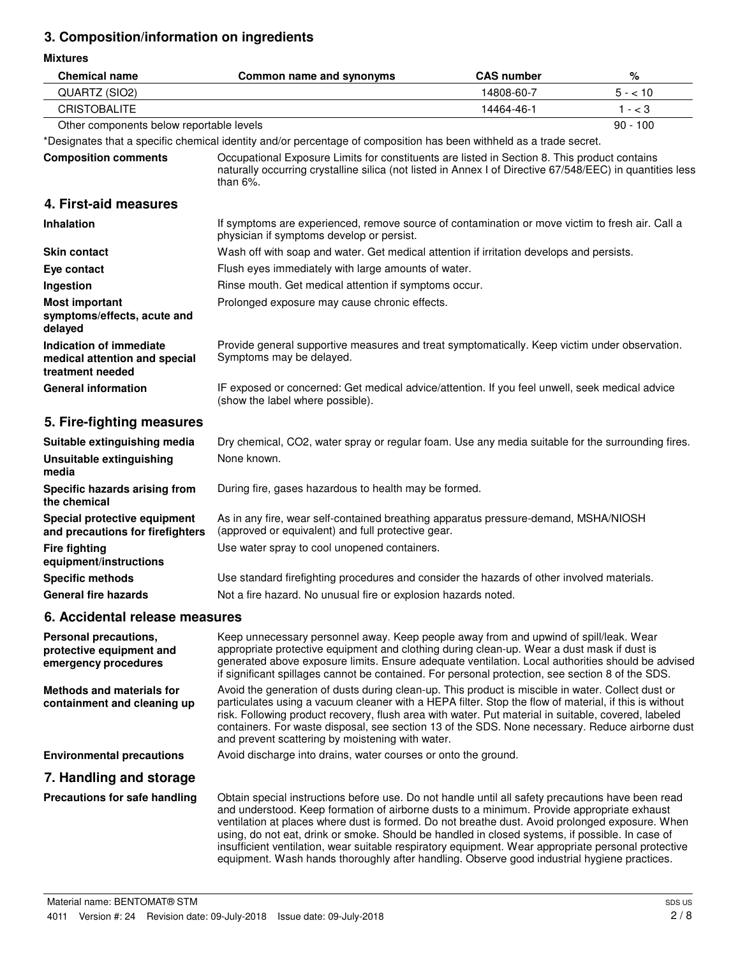## **3. Composition/information on ingredients**

**Mixtures**

| <b>Chemical name</b>                                                         | Common name and synonyms                                                                                                                                                                                                                                                                                                                                                                                                                                                                                                                                                                                    | <b>CAS number</b> | $\%$       |
|------------------------------------------------------------------------------|-------------------------------------------------------------------------------------------------------------------------------------------------------------------------------------------------------------------------------------------------------------------------------------------------------------------------------------------------------------------------------------------------------------------------------------------------------------------------------------------------------------------------------------------------------------------------------------------------------------|-------------------|------------|
| QUARTZ (SIO2)                                                                | 14808-60-7                                                                                                                                                                                                                                                                                                                                                                                                                                                                                                                                                                                                  |                   | $5 - 10$   |
| <b>CRISTOBALITE</b>                                                          |                                                                                                                                                                                                                                                                                                                                                                                                                                                                                                                                                                                                             | 14464-46-1        | $1 - < 3$  |
| Other components below reportable levels                                     |                                                                                                                                                                                                                                                                                                                                                                                                                                                                                                                                                                                                             |                   | $90 - 100$ |
|                                                                              | *Designates that a specific chemical identity and/or percentage of composition has been withheld as a trade secret.                                                                                                                                                                                                                                                                                                                                                                                                                                                                                         |                   |            |
| <b>Composition comments</b>                                                  | Occupational Exposure Limits for constituents are listed in Section 8. This product contains<br>naturally occurring crystalline silica (not listed in Annex I of Directive 67/548/EEC) in quantities less<br>than $6\%$ .                                                                                                                                                                                                                                                                                                                                                                                   |                   |            |
| 4. First-aid measures                                                        |                                                                                                                                                                                                                                                                                                                                                                                                                                                                                                                                                                                                             |                   |            |
| <b>Inhalation</b>                                                            | If symptoms are experienced, remove source of contamination or move victim to fresh air. Call a<br>physician if symptoms develop or persist.                                                                                                                                                                                                                                                                                                                                                                                                                                                                |                   |            |
| <b>Skin contact</b>                                                          | Wash off with soap and water. Get medical attention if irritation develops and persists.                                                                                                                                                                                                                                                                                                                                                                                                                                                                                                                    |                   |            |
| Eye contact                                                                  | Flush eyes immediately with large amounts of water.                                                                                                                                                                                                                                                                                                                                                                                                                                                                                                                                                         |                   |            |
| Ingestion                                                                    | Rinse mouth. Get medical attention if symptoms occur.                                                                                                                                                                                                                                                                                                                                                                                                                                                                                                                                                       |                   |            |
| <b>Most important</b><br>symptoms/effects, acute and<br>delayed              | Prolonged exposure may cause chronic effects.                                                                                                                                                                                                                                                                                                                                                                                                                                                                                                                                                               |                   |            |
| Indication of immediate<br>medical attention and special<br>treatment needed | Provide general supportive measures and treat symptomatically. Keep victim under observation.<br>Symptoms may be delayed.                                                                                                                                                                                                                                                                                                                                                                                                                                                                                   |                   |            |
| <b>General information</b>                                                   | IF exposed or concerned: Get medical advice/attention. If you feel unwell, seek medical advice<br>(show the label where possible).                                                                                                                                                                                                                                                                                                                                                                                                                                                                          |                   |            |
| 5. Fire-fighting measures                                                    |                                                                                                                                                                                                                                                                                                                                                                                                                                                                                                                                                                                                             |                   |            |
| Suitable extinguishing media                                                 | Dry chemical, CO2, water spray or regular foam. Use any media suitable for the surrounding fires.                                                                                                                                                                                                                                                                                                                                                                                                                                                                                                           |                   |            |
| <b>Unsuitable extinguishing</b><br>media                                     | None known.                                                                                                                                                                                                                                                                                                                                                                                                                                                                                                                                                                                                 |                   |            |
| Specific hazards arising from<br>the chemical                                | During fire, gases hazardous to health may be formed.                                                                                                                                                                                                                                                                                                                                                                                                                                                                                                                                                       |                   |            |
| Special protective equipment<br>and precautions for firefighters             | As in any fire, wear self-contained breathing apparatus pressure-demand, MSHA/NIOSH<br>(approved or equivalent) and full protective gear.                                                                                                                                                                                                                                                                                                                                                                                                                                                                   |                   |            |
| <b>Fire fighting</b><br>equipment/instructions                               | Use water spray to cool unopened containers.                                                                                                                                                                                                                                                                                                                                                                                                                                                                                                                                                                |                   |            |
| <b>Specific methods</b>                                                      | Use standard firefighting procedures and consider the hazards of other involved materials.                                                                                                                                                                                                                                                                                                                                                                                                                                                                                                                  |                   |            |
| <b>General fire hazards</b>                                                  | Not a fire hazard. No unusual fire or explosion hazards noted.                                                                                                                                                                                                                                                                                                                                                                                                                                                                                                                                              |                   |            |
| 6. Accidental release measures                                               |                                                                                                                                                                                                                                                                                                                                                                                                                                                                                                                                                                                                             |                   |            |
| Personal precautions,<br>protective equipment and<br>emergency procedures    | Keep unnecessary personnel away. Keep people away from and upwind of spill/leak. Wear<br>appropriate protective equipment and clothing during clean-up. Wear a dust mask if dust is<br>generated above exposure limits. Ensure adequate ventilation. Local authorities should be advised<br>if significant spillages cannot be contained. For personal protection, see section 8 of the SDS.                                                                                                                                                                                                                |                   |            |
| <b>Methods and materials for</b><br>containment and cleaning up              | Avoid the generation of dusts during clean-up. This product is miscible in water. Collect dust or<br>particulates using a vacuum cleaner with a HEPA filter. Stop the flow of material, if this is without<br>risk. Following product recovery, flush area with water. Put material in suitable, covered, labeled<br>containers. For waste disposal, see section 13 of the SDS. None necessary. Reduce airborne dust<br>and prevent scattering by moistening with water.                                                                                                                                    |                   |            |
| <b>Environmental precautions</b>                                             | Avoid discharge into drains, water courses or onto the ground.                                                                                                                                                                                                                                                                                                                                                                                                                                                                                                                                              |                   |            |
| 7. Handling and storage                                                      |                                                                                                                                                                                                                                                                                                                                                                                                                                                                                                                                                                                                             |                   |            |
| Precautions for safe handling                                                | Obtain special instructions before use. Do not handle until all safety precautions have been read<br>and understood. Keep formation of airborne dusts to a minimum. Provide appropriate exhaust<br>ventilation at places where dust is formed. Do not breathe dust. Avoid prolonged exposure. When<br>using, do not eat, drink or smoke. Should be handled in closed systems, if possible. In case of<br>insufficient ventilation, wear suitable respiratory equipment. Wear appropriate personal protective<br>equipment. Wash hands thoroughly after handling. Observe good industrial hygiene practices. |                   |            |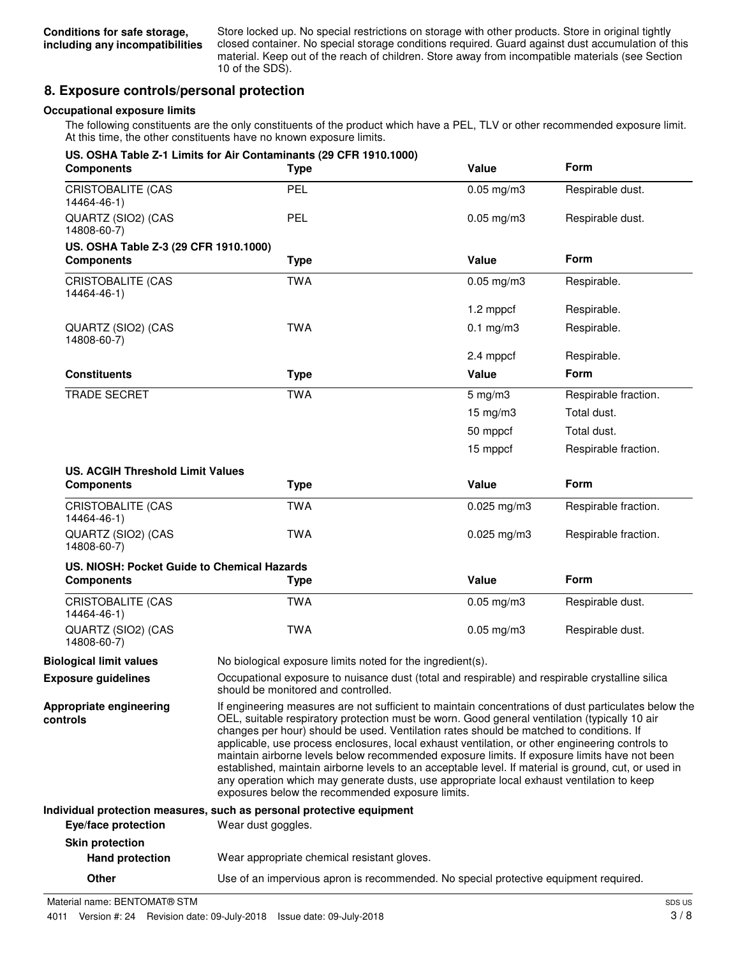Store locked up. No special restrictions on storage with other products. Store in original tightly closed container. No special storage conditions required. Guard against dust accumulation of this material. Keep out of the reach of children. Store away from incompatible materials (see Section 10 of the SDS).

## **8. Exposure controls/personal protection**

### **Occupational exposure limits**

The following constituents are the only constituents of the product which have a PEL, TLV or other recommended exposure limit. At this time, the other constituents have no known exposure limits.

| <b>Components</b>                           | US. OSHA Table Z-1 Limits for Air Contaminants (29 CFR 1910.1000)<br><b>Type</b>                                                                                                                                                                                                                                                                                                                                                                                                                                                                                                                                                                                                                                                                             | Value                                                                                           | <b>Form</b>          |
|---------------------------------------------|--------------------------------------------------------------------------------------------------------------------------------------------------------------------------------------------------------------------------------------------------------------------------------------------------------------------------------------------------------------------------------------------------------------------------------------------------------------------------------------------------------------------------------------------------------------------------------------------------------------------------------------------------------------------------------------------------------------------------------------------------------------|-------------------------------------------------------------------------------------------------|----------------------|
| <b>CRISTOBALITE (CAS</b><br>14464-46-1)     | PEL                                                                                                                                                                                                                                                                                                                                                                                                                                                                                                                                                                                                                                                                                                                                                          | $0.05$ mg/m $3$                                                                                 | Respirable dust.     |
| QUARTZ (SIO2) (CAS<br>14808-60-7)           | <b>PEL</b>                                                                                                                                                                                                                                                                                                                                                                                                                                                                                                                                                                                                                                                                                                                                                   | $0.05$ mg/m $3$                                                                                 | Respirable dust.     |
| US. OSHA Table Z-3 (29 CFR 1910.1000)       |                                                                                                                                                                                                                                                                                                                                                                                                                                                                                                                                                                                                                                                                                                                                                              |                                                                                                 |                      |
| <b>Components</b>                           | <b>Type</b>                                                                                                                                                                                                                                                                                                                                                                                                                                                                                                                                                                                                                                                                                                                                                  | Value                                                                                           | <b>Form</b>          |
| CRISTOBALITE (CAS<br>14464-46-1)            | <b>TWA</b>                                                                                                                                                                                                                                                                                                                                                                                                                                                                                                                                                                                                                                                                                                                                                   | $0.05$ mg/m $3$                                                                                 | Respirable.          |
|                                             |                                                                                                                                                                                                                                                                                                                                                                                                                                                                                                                                                                                                                                                                                                                                                              | 1.2 mppcf                                                                                       | Respirable.          |
| QUARTZ (SIO2) (CAS<br>14808-60-7)           | <b>TWA</b>                                                                                                                                                                                                                                                                                                                                                                                                                                                                                                                                                                                                                                                                                                                                                   | $0.1$ mg/m $3$                                                                                  | Respirable.          |
|                                             |                                                                                                                                                                                                                                                                                                                                                                                                                                                                                                                                                                                                                                                                                                                                                              | 2.4 mppcf                                                                                       | Respirable.          |
| <b>Constituents</b>                         | <b>Type</b>                                                                                                                                                                                                                                                                                                                                                                                                                                                                                                                                                                                                                                                                                                                                                  | Value                                                                                           | <b>Form</b>          |
| <b>TRADE SECRET</b>                         | <b>TWA</b>                                                                                                                                                                                                                                                                                                                                                                                                                                                                                                                                                                                                                                                                                                                                                   | $5$ mg/m $3$                                                                                    | Respirable fraction. |
|                                             |                                                                                                                                                                                                                                                                                                                                                                                                                                                                                                                                                                                                                                                                                                                                                              | $15 \text{ mg/m}$ 3                                                                             | Total dust.          |
|                                             |                                                                                                                                                                                                                                                                                                                                                                                                                                                                                                                                                                                                                                                                                                                                                              | 50 mppcf                                                                                        | Total dust.          |
|                                             |                                                                                                                                                                                                                                                                                                                                                                                                                                                                                                                                                                                                                                                                                                                                                              | 15 mppcf                                                                                        | Respirable fraction. |
| <b>US. ACGIH Threshold Limit Values</b>     |                                                                                                                                                                                                                                                                                                                                                                                                                                                                                                                                                                                                                                                                                                                                                              |                                                                                                 |                      |
| <b>Components</b>                           | <b>Type</b>                                                                                                                                                                                                                                                                                                                                                                                                                                                                                                                                                                                                                                                                                                                                                  | Value                                                                                           | Form                 |
| <b>CRISTOBALITE (CAS</b><br>14464-46-1)     | <b>TWA</b>                                                                                                                                                                                                                                                                                                                                                                                                                                                                                                                                                                                                                                                                                                                                                   | $0.025$ mg/m3                                                                                   | Respirable fraction. |
| QUARTZ (SIO2) (CAS<br>14808-60-7)           | <b>TWA</b>                                                                                                                                                                                                                                                                                                                                                                                                                                                                                                                                                                                                                                                                                                                                                   | $0.025$ mg/m $3$                                                                                | Respirable fraction. |
| US. NIOSH: Pocket Guide to Chemical Hazards |                                                                                                                                                                                                                                                                                                                                                                                                                                                                                                                                                                                                                                                                                                                                                              |                                                                                                 |                      |
| <b>Components</b>                           | <b>Type</b>                                                                                                                                                                                                                                                                                                                                                                                                                                                                                                                                                                                                                                                                                                                                                  | Value                                                                                           | Form                 |
| <b>CRISTOBALITE (CAS</b><br>14464-46-1)     | <b>TWA</b>                                                                                                                                                                                                                                                                                                                                                                                                                                                                                                                                                                                                                                                                                                                                                   | $0.05$ mg/m $3$                                                                                 | Respirable dust.     |
| QUARTZ (SIO2) (CAS<br>14808-60-7)           | <b>TWA</b>                                                                                                                                                                                                                                                                                                                                                                                                                                                                                                                                                                                                                                                                                                                                                   | $0.05$ mg/m $3$                                                                                 | Respirable dust.     |
| <b>Biological limit values</b>              | No biological exposure limits noted for the ingredient(s).                                                                                                                                                                                                                                                                                                                                                                                                                                                                                                                                                                                                                                                                                                   |                                                                                                 |                      |
| <b>Exposure guidelines</b>                  | should be monitored and controlled.                                                                                                                                                                                                                                                                                                                                                                                                                                                                                                                                                                                                                                                                                                                          | Occupational exposure to nuisance dust (total and respirable) and respirable crystalline silica |                      |
| Appropriate engineering<br>controls         | If engineering measures are not sufficient to maintain concentrations of dust particulates below the<br>OEL, suitable respiratory protection must be worn. Good general ventilation (typically 10 air<br>changes per hour) should be used. Ventilation rates should be matched to conditions. If<br>applicable, use process enclosures, local exhaust ventilation, or other engineering controls to<br>maintain airborne levels below recommended exposure limits. If exposure limits have not been<br>established, maintain airborne levels to an acceptable level. If material is ground, cut, or used in<br>any operation which may generate dusts, use appropriate local exhaust ventilation to keep<br>exposures below the recommended exposure limits. |                                                                                                 |                      |
|                                             | Individual protection measures, such as personal protective equipment                                                                                                                                                                                                                                                                                                                                                                                                                                                                                                                                                                                                                                                                                        |                                                                                                 |                      |
| Eye/face protection                         | Wear dust goggles.                                                                                                                                                                                                                                                                                                                                                                                                                                                                                                                                                                                                                                                                                                                                           |                                                                                                 |                      |
| <b>Skin protection</b>                      |                                                                                                                                                                                                                                                                                                                                                                                                                                                                                                                                                                                                                                                                                                                                                              |                                                                                                 |                      |
| <b>Hand protection</b>                      | Wear appropriate chemical resistant gloves.                                                                                                                                                                                                                                                                                                                                                                                                                                                                                                                                                                                                                                                                                                                  |                                                                                                 |                      |

**Other** Use of an impervious apron is recommended. No special protective equipment required.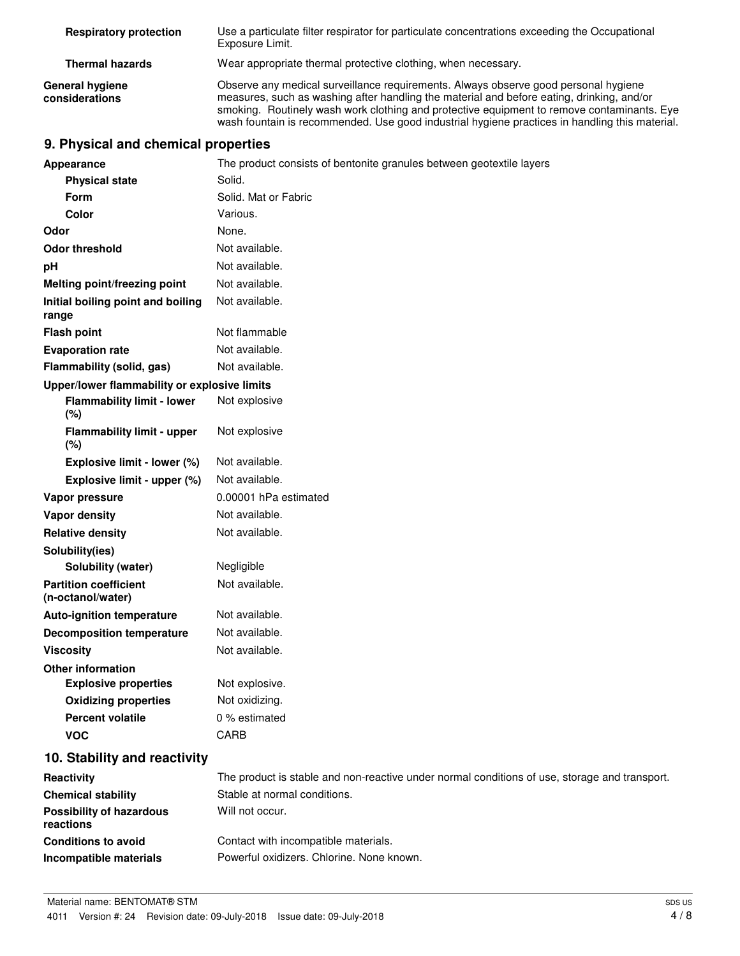| <b>Respiratory protection</b>            | Use a particulate filter respirator for particulate concentrations exceeding the Occupational<br>Exposure Limit.                                                                                                                                                                                                                                                                 |
|------------------------------------------|----------------------------------------------------------------------------------------------------------------------------------------------------------------------------------------------------------------------------------------------------------------------------------------------------------------------------------------------------------------------------------|
| <b>Thermal hazards</b>                   | Wear appropriate thermal protective clothing, when necessary.                                                                                                                                                                                                                                                                                                                    |
| <b>General hygiene</b><br>considerations | Observe any medical surveillance requirements. Always observe good personal hygiene<br>measures, such as washing after handling the material and before eating, drinking, and/or<br>smoking. Routinely wash work clothing and protective equipment to remove contaminants. Eye<br>wash fountain is recommended. Use good industrial hygiene practices in handling this material. |

## **9. Physical and chemical properties**

| <b>Appearance</b>                                 | The product consists of bentonite granules between geotextile layers                          |
|---------------------------------------------------|-----------------------------------------------------------------------------------------------|
| <b>Physical state</b>                             | Solid.                                                                                        |
| Form                                              | Solid. Mat or Fabric                                                                          |
| <b>Color</b>                                      | Various.                                                                                      |
| Odor                                              | None.                                                                                         |
| <b>Odor threshold</b>                             | Not available.                                                                                |
| рH                                                | Not available.                                                                                |
| <b>Melting point/freezing point</b>               | Not available.                                                                                |
| Initial boiling point and boiling<br>range        | Not available.                                                                                |
| <b>Flash point</b>                                | Not flammable                                                                                 |
| <b>Evaporation rate</b>                           | Not available.                                                                                |
| Flammability (solid, gas)                         | Not available.                                                                                |
| Upper/lower flammability or explosive limits      |                                                                                               |
| <b>Flammability limit - lower</b><br>(%)          | Not explosive                                                                                 |
| <b>Flammability limit - upper</b><br>(%)          | Not explosive                                                                                 |
| Explosive limit - lower (%)                       | Not available.                                                                                |
| Explosive limit - upper (%)                       | Not available.                                                                                |
| Vapor pressure                                    | 0.00001 hPa estimated                                                                         |
| <b>Vapor density</b>                              | Not available.                                                                                |
| <b>Relative density</b>                           | Not available.                                                                                |
| Solubility(ies)                                   |                                                                                               |
| Solubility (water)                                | Negligible                                                                                    |
| <b>Partition coefficient</b><br>(n-octanol/water) | Not available.                                                                                |
| <b>Auto-ignition temperature</b>                  | Not available.                                                                                |
| <b>Decomposition temperature</b>                  | Not available.                                                                                |
| <b>Viscosity</b>                                  | Not available.                                                                                |
| <b>Other information</b>                          |                                                                                               |
| <b>Explosive properties</b>                       | Not explosive.                                                                                |
| <b>Oxidizing properties</b>                       | Not oxidizing.                                                                                |
| <b>Percent volatile</b>                           | 0 % estimated                                                                                 |
| <b>VOC</b>                                        | CARB                                                                                          |
| 10. Stability and reactivity                      |                                                                                               |
| Reactivity                                        | The product is stable and non-reactive under normal conditions of use, storage and transport. |
| <b>Chemical stability</b>                         | Stable at normal conditions.                                                                  |
| <b>Possibility of hazardous</b><br>reactions      | Will not occur.                                                                               |
| <b>Conditions to avoid</b>                        | Contact with incompatible materials.                                                          |
| Incompatible materials                            | Powerful oxidizers. Chlorine. None known.                                                     |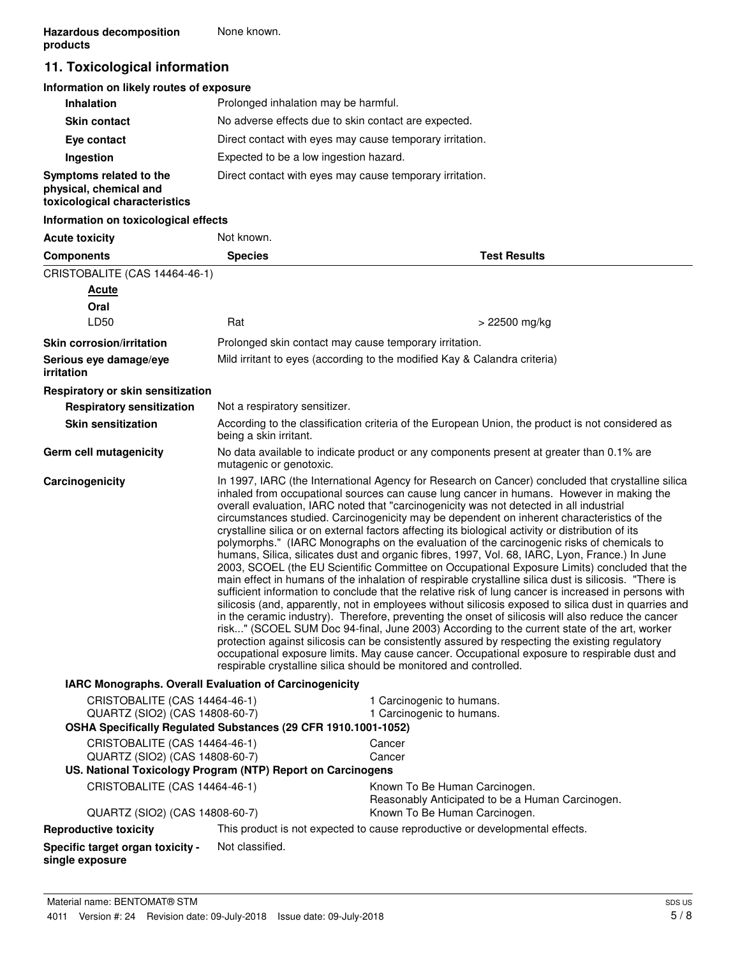## **11. Toxicological information**

## **Information on likely routes of exposure**

| <b>Inhalation</b>                                                                  | Prolonged inhalation may be harmful.                     |
|------------------------------------------------------------------------------------|----------------------------------------------------------|
| <b>Skin contact</b>                                                                | No adverse effects due to skin contact are expected.     |
| Eye contact                                                                        | Direct contact with eyes may cause temporary irritation. |
| Ingestion                                                                          | Expected to be a low ingestion hazard.                   |
| Symptoms related to the<br>physical, chemical and<br>toxicological characteristics | Direct contact with eyes may cause temporary irritation. |

### **Information on toxicological effects**

| <b>Acute toxicity</b>                                                                                                             | Not known.                                                                                                                                                                                                                                                                                                                                                                                                                                                                                                                                                                                                                                                                                                                                                                                                                                                                                                                                                                                                                                                                                                                                                                                                                                                                                                                                                                                                                                                                                                                                                                                         |                                                                                                                     |  |
|-----------------------------------------------------------------------------------------------------------------------------------|----------------------------------------------------------------------------------------------------------------------------------------------------------------------------------------------------------------------------------------------------------------------------------------------------------------------------------------------------------------------------------------------------------------------------------------------------------------------------------------------------------------------------------------------------------------------------------------------------------------------------------------------------------------------------------------------------------------------------------------------------------------------------------------------------------------------------------------------------------------------------------------------------------------------------------------------------------------------------------------------------------------------------------------------------------------------------------------------------------------------------------------------------------------------------------------------------------------------------------------------------------------------------------------------------------------------------------------------------------------------------------------------------------------------------------------------------------------------------------------------------------------------------------------------------------------------------------------------------|---------------------------------------------------------------------------------------------------------------------|--|
| <b>Components</b>                                                                                                                 | <b>Species</b>                                                                                                                                                                                                                                                                                                                                                                                                                                                                                                                                                                                                                                                                                                                                                                                                                                                                                                                                                                                                                                                                                                                                                                                                                                                                                                                                                                                                                                                                                                                                                                                     | <b>Test Results</b>                                                                                                 |  |
| CRISTOBALITE (CAS 14464-46-1)                                                                                                     |                                                                                                                                                                                                                                                                                                                                                                                                                                                                                                                                                                                                                                                                                                                                                                                                                                                                                                                                                                                                                                                                                                                                                                                                                                                                                                                                                                                                                                                                                                                                                                                                    |                                                                                                                     |  |
| <b>Acute</b>                                                                                                                      |                                                                                                                                                                                                                                                                                                                                                                                                                                                                                                                                                                                                                                                                                                                                                                                                                                                                                                                                                                                                                                                                                                                                                                                                                                                                                                                                                                                                                                                                                                                                                                                                    |                                                                                                                     |  |
| Oral                                                                                                                              |                                                                                                                                                                                                                                                                                                                                                                                                                                                                                                                                                                                                                                                                                                                                                                                                                                                                                                                                                                                                                                                                                                                                                                                                                                                                                                                                                                                                                                                                                                                                                                                                    |                                                                                                                     |  |
| LD50                                                                                                                              | Rat                                                                                                                                                                                                                                                                                                                                                                                                                                                                                                                                                                                                                                                                                                                                                                                                                                                                                                                                                                                                                                                                                                                                                                                                                                                                                                                                                                                                                                                                                                                                                                                                | > 22500 mg/kg                                                                                                       |  |
| <b>Skin corrosion/irritation</b>                                                                                                  |                                                                                                                                                                                                                                                                                                                                                                                                                                                                                                                                                                                                                                                                                                                                                                                                                                                                                                                                                                                                                                                                                                                                                                                                                                                                                                                                                                                                                                                                                                                                                                                                    | Prolonged skin contact may cause temporary irritation.                                                              |  |
| Serious eye damage/eye<br>irritation                                                                                              |                                                                                                                                                                                                                                                                                                                                                                                                                                                                                                                                                                                                                                                                                                                                                                                                                                                                                                                                                                                                                                                                                                                                                                                                                                                                                                                                                                                                                                                                                                                                                                                                    | Mild irritant to eyes (according to the modified Kay & Calandra criteria)                                           |  |
| Respiratory or skin sensitization                                                                                                 |                                                                                                                                                                                                                                                                                                                                                                                                                                                                                                                                                                                                                                                                                                                                                                                                                                                                                                                                                                                                                                                                                                                                                                                                                                                                                                                                                                                                                                                                                                                                                                                                    |                                                                                                                     |  |
| <b>Respiratory sensitization</b>                                                                                                  | Not a respiratory sensitizer.                                                                                                                                                                                                                                                                                                                                                                                                                                                                                                                                                                                                                                                                                                                                                                                                                                                                                                                                                                                                                                                                                                                                                                                                                                                                                                                                                                                                                                                                                                                                                                      |                                                                                                                     |  |
| <b>Skin sensitization</b>                                                                                                         | being a skin irritant.                                                                                                                                                                                                                                                                                                                                                                                                                                                                                                                                                                                                                                                                                                                                                                                                                                                                                                                                                                                                                                                                                                                                                                                                                                                                                                                                                                                                                                                                                                                                                                             | According to the classification criteria of the European Union, the product is not considered as                    |  |
| Germ cell mutagenicity                                                                                                            |                                                                                                                                                                                                                                                                                                                                                                                                                                                                                                                                                                                                                                                                                                                                                                                                                                                                                                                                                                                                                                                                                                                                                                                                                                                                                                                                                                                                                                                                                                                                                                                                    | No data available to indicate product or any components present at greater than 0.1% are<br>mutagenic or genotoxic. |  |
| Carcinogenicity                                                                                                                   | In 1997, IARC (the International Agency for Research on Cancer) concluded that crystalline silica<br>inhaled from occupational sources can cause lung cancer in humans. However in making the<br>overall evaluation, IARC noted that "carcinogenicity was not detected in all industrial<br>circumstances studied. Carcinogenicity may be dependent on inherent characteristics of the<br>crystalline silica or on external factors affecting its biological activity or distribution of its<br>polymorphs." (IARC Monographs on the evaluation of the carcinogenic risks of chemicals to<br>humans, Silica, silicates dust and organic fibres, 1997, Vol. 68, IARC, Lyon, France.) In June<br>2003, SCOEL (the EU Scientific Committee on Occupational Exposure Limits) concluded that the<br>main effect in humans of the inhalation of respirable crystalline silica dust is silicosis. "There is<br>sufficient information to conclude that the relative risk of lung cancer is increased in persons with<br>silicosis (and, apparently, not in employees without silicosis exposed to silica dust in quarries and<br>in the ceramic industry). Therefore, preventing the onset of silicosis will also reduce the cancer<br>risk" (SCOEL SUM Doc 94-final, June 2003) According to the current state of the art, worker<br>protection against silicosis can be consistently assured by respecting the existing regulatory<br>occupational exposure limits. May cause cancer. Occupational exposure to respirable dust and<br>respirable crystalline silica should be monitored and controlled. |                                                                                                                     |  |
| IARC Monographs. Overall Evaluation of Carcinogenicity                                                                            |                                                                                                                                                                                                                                                                                                                                                                                                                                                                                                                                                                                                                                                                                                                                                                                                                                                                                                                                                                                                                                                                                                                                                                                                                                                                                                                                                                                                                                                                                                                                                                                                    |                                                                                                                     |  |
| CRISTOBALITE (CAS 14464-46-1)<br>QUARTZ (SIO2) (CAS 14808-60-7)<br>OSHA Specifically Regulated Substances (29 CFR 1910.1001-1052) |                                                                                                                                                                                                                                                                                                                                                                                                                                                                                                                                                                                                                                                                                                                                                                                                                                                                                                                                                                                                                                                                                                                                                                                                                                                                                                                                                                                                                                                                                                                                                                                                    | 1 Carcinogenic to humans.<br>1 Carcinogenic to humans.                                                              |  |
| CRISTOBALITE (CAS 14464-46-1)                                                                                                     |                                                                                                                                                                                                                                                                                                                                                                                                                                                                                                                                                                                                                                                                                                                                                                                                                                                                                                                                                                                                                                                                                                                                                                                                                                                                                                                                                                                                                                                                                                                                                                                                    |                                                                                                                     |  |
| QUARTZ (SIO2) (CAS 14808-60-7)                                                                                                    | Cancer<br>Cancer                                                                                                                                                                                                                                                                                                                                                                                                                                                                                                                                                                                                                                                                                                                                                                                                                                                                                                                                                                                                                                                                                                                                                                                                                                                                                                                                                                                                                                                                                                                                                                                   |                                                                                                                     |  |
| US. National Toxicology Program (NTP) Report on Carcinogens                                                                       |                                                                                                                                                                                                                                                                                                                                                                                                                                                                                                                                                                                                                                                                                                                                                                                                                                                                                                                                                                                                                                                                                                                                                                                                                                                                                                                                                                                                                                                                                                                                                                                                    |                                                                                                                     |  |
| CRISTOBALITE (CAS 14464-46-1)                                                                                                     |                                                                                                                                                                                                                                                                                                                                                                                                                                                                                                                                                                                                                                                                                                                                                                                                                                                                                                                                                                                                                                                                                                                                                                                                                                                                                                                                                                                                                                                                                                                                                                                                    | Known To Be Human Carcinogen.<br>Reasonably Anticipated to be a Human Carcinogen.                                   |  |
| QUARTZ (SIO2) (CAS 14808-60-7)                                                                                                    |                                                                                                                                                                                                                                                                                                                                                                                                                                                                                                                                                                                                                                                                                                                                                                                                                                                                                                                                                                                                                                                                                                                                                                                                                                                                                                                                                                                                                                                                                                                                                                                                    | Known To Be Human Carcinogen.                                                                                       |  |
| <b>Reproductive toxicity</b>                                                                                                      |                                                                                                                                                                                                                                                                                                                                                                                                                                                                                                                                                                                                                                                                                                                                                                                                                                                                                                                                                                                                                                                                                                                                                                                                                                                                                                                                                                                                                                                                                                                                                                                                    | This product is not expected to cause reproductive or developmental effects.                                        |  |
| Specific target organ toxicity -<br>single exposure                                                                               | Not classified.                                                                                                                                                                                                                                                                                                                                                                                                                                                                                                                                                                                                                                                                                                                                                                                                                                                                                                                                                                                                                                                                                                                                                                                                                                                                                                                                                                                                                                                                                                                                                                                    |                                                                                                                     |  |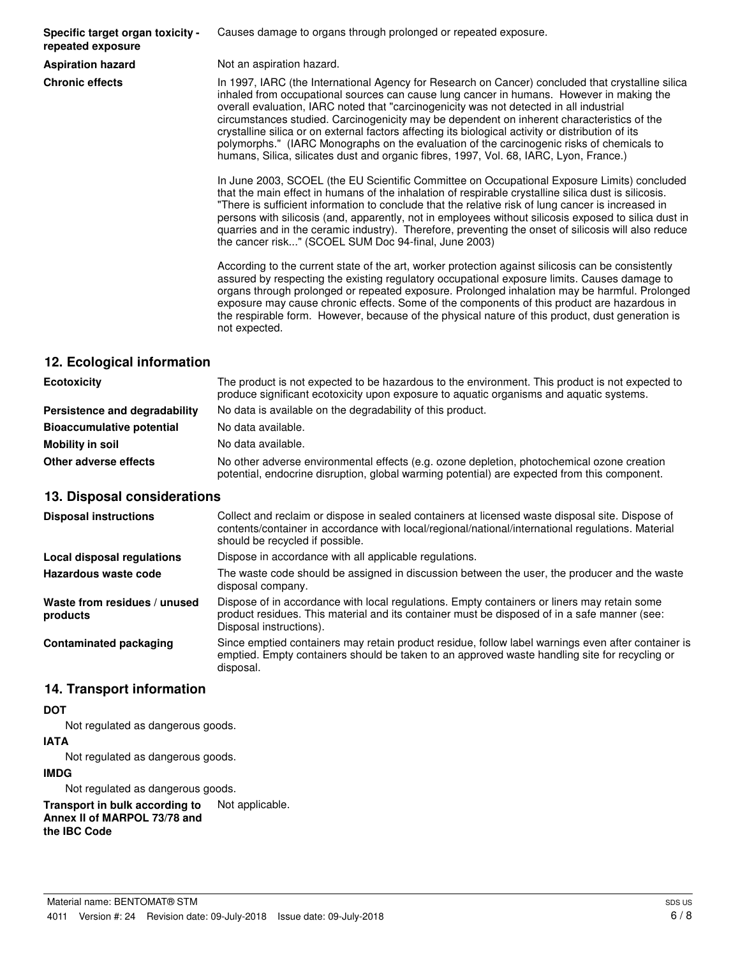**Specific target organ toxicity repeated exposure**

Causes damage to organs through prolonged or repeated exposure.

**Aspiration hazard** Not an aspiration hazard.

**Chronic effects** In 1997, IARC (the International Agency for Research on Cancer) concluded that crystalline silica inhaled from occupational sources can cause lung cancer in humans. However in making the overall evaluation, IARC noted that "carcinogenicity was not detected in all industrial circumstances studied. Carcinogenicity may be dependent on inherent characteristics of the crystalline silica or on external factors affecting its biological activity or distribution of its polymorphs." (IARC Monographs on the evaluation of the carcinogenic risks of chemicals to humans, Silica, silicates dust and organic fibres, 1997, Vol. 68, IARC, Lyon, France.)

> In June 2003, SCOEL (the EU Scientific Committee on Occupational Exposure Limits) concluded that the main effect in humans of the inhalation of respirable crystalline silica dust is silicosis. "There is sufficient information to conclude that the relative risk of lung cancer is increased in persons with silicosis (and, apparently, not in employees without silicosis exposed to silica dust in quarries and in the ceramic industry). Therefore, preventing the onset of silicosis will also reduce the cancer risk..." (SCOEL SUM Doc 94-final, June 2003)

> According to the current state of the art, worker protection against silicosis can be consistently assured by respecting the existing regulatory occupational exposure limits. Causes damage to organs through prolonged or repeated exposure. Prolonged inhalation may be harmful. Prolonged exposure may cause chronic effects. Some of the components of this product are hazardous in the respirable form. However, because of the physical nature of this product, dust generation is not expected.

## **12. Ecological information**

| <b>Ecotoxicity</b>               | The product is not expected to be hazardous to the environment. This product is not expected to<br>produce significant ecotoxicity upon exposure to aquatic organisms and aquatic systems. |  |
|----------------------------------|--------------------------------------------------------------------------------------------------------------------------------------------------------------------------------------------|--|
| Persistence and degradability    | No data is available on the degradability of this product.                                                                                                                                 |  |
| <b>Bioaccumulative potential</b> | No data available.                                                                                                                                                                         |  |
| Mobility in soil                 | No data available.                                                                                                                                                                         |  |
| Other adverse effects            | No other adverse environmental effects (e.g. ozone depletion, photochemical ozone creation<br>potential, endocrine disruption, global warming potential) are expected from this component. |  |

## **13. Disposal considerations**

| <b>Disposal instructions</b>             | Collect and reclaim or dispose in sealed containers at licensed waste disposal site. Dispose of<br>contents/container in accordance with local/regional/national/international regulations. Material<br>should be recycled if possible. |
|------------------------------------------|-----------------------------------------------------------------------------------------------------------------------------------------------------------------------------------------------------------------------------------------|
| Local disposal regulations               | Dispose in accordance with all applicable regulations.                                                                                                                                                                                  |
| Hazardous waste code                     | The waste code should be assigned in discussion between the user, the producer and the waste<br>disposal company.                                                                                                                       |
| Waste from residues / unused<br>products | Dispose of in accordance with local regulations. Empty containers or liners may retain some<br>product residues. This material and its container must be disposed of in a safe manner (see:<br>Disposal instructions).                  |
| <b>Contaminated packaging</b>            | Since emptied containers may retain product residue, follow label warnings even after container is<br>emptied. Empty containers should be taken to an approved waste handling site for recycling or<br>disposal.                        |

## **14. Transport information**

## **DOT**

Not regulated as dangerous goods.

#### **IATA**

Not regulated as dangerous goods.

## **IMDG**

Not regulated as dangerous goods.

**Transport in bulk according to** Not applicable. **Annex II of MARPOL 73/78 and the IBC Code**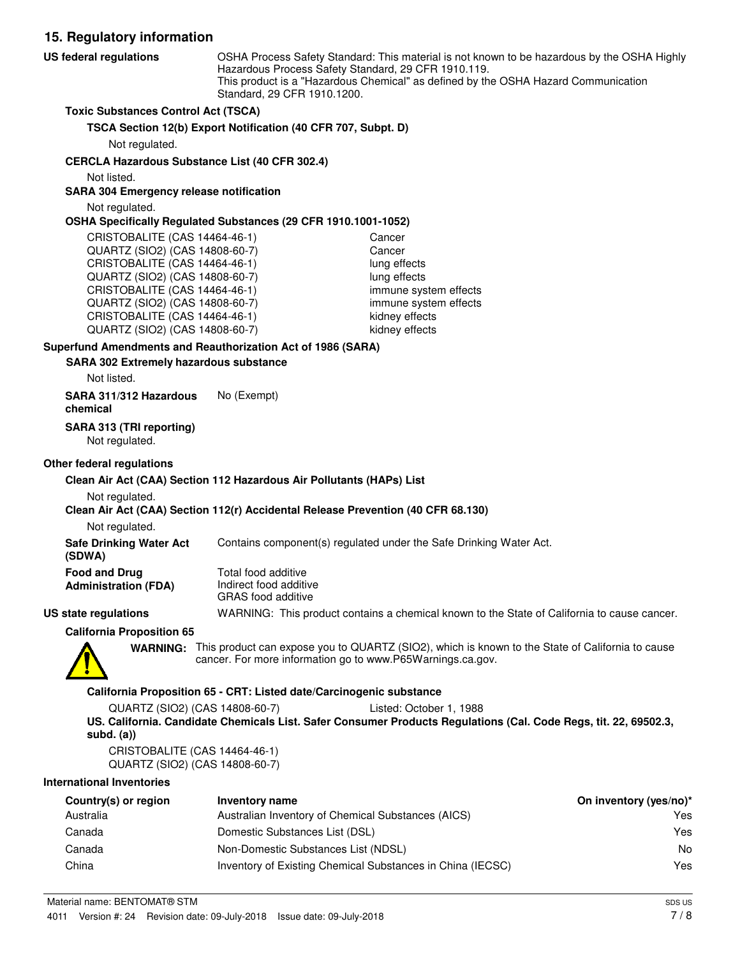**15. Regulatory information** OSHA Process Safety Standard: This material is not known to be hazardous by the OSHA Highly Hazardous Process Safety Standard, 29 CFR 1910.119. This product is a "Hazardous Chemical" as defined by the OSHA Hazard Communication Standard, 29 CFR 1910.1200. **US federal regulations Toxic Substances Control Act (TSCA) TSCA Section 12(b) Export Notification (40 CFR 707, Subpt. D)** Not regulated. **CERCLA Hazardous Substance List (40 CFR 302.4)** Not listed. **SARA 304 Emergency release notification** Not regulated. **OSHA Specifically Regulated Substances (29 CFR 1910.1001-1052)** CRISTOBALITE (CAS 14464-46-1) Cancer QUARTZ (SIO2) (CAS 14808-60-7) Cancer CRISTOBALITE (CAS 14464-46-1) lung effects QUARTZ (SIO2) (CAS 14808-60-7) lung effects CRISTOBALITE (CAS 14464-46-1) immune system effects QUARTZ (SIO2) (CAS 14808-60-7) immune system effects CRISTOBALITE (CAS 14464-46-1) kidney effects QUARTZ (SIO2) (CAS 14808-60-7) kidney effects **SARA 302 Extremely hazardous substance Superfund Amendments and Reauthorization Act of 1986 (SARA)** Not listed. **SARA 311/312 Hazardous** No (Exempt) **chemical SARA 313 (TRI reporting)** Not regulated.

### **Other federal regulations**

#### **Clean Air Act (CAA) Section 112 Hazardous Air Pollutants (HAPs) List**

#### Not regulated.

#### **Clean Air Act (CAA) Section 112(r) Accidental Release Prevention (40 CFR 68.130)**

Not regulated.

**Safe Drinking Water Act** Contains component(s) regulated under the Safe Drinking Water Act.

| (SDWA)                      |                      |
|-----------------------------|----------------------|
| <b>Food and Drug</b>        | Total food additive  |
| <b>Administration (FDA)</b> | Indirect food additi |
|                             |                      |

Indirect food additive GRAS food additive

### **US state regulations** WARNING: This product contains a chemical known to the State of California to cause cancer.

**California Proposition 65**



WARNING: This product can expose you to QUARTZ (SIO2), which is known to the State of California to cause cancer. For more information go to www.P65Warnings.ca.gov.

#### **California Proposition 65 - CRT: Listed date/Carcinogenic substance**

QUARTZ (SIO2) (CAS 14808-60-7) Listed: October 1, 1988 **US. California. Candidate Chemicals List. Safer Consumer Products Regulations (Cal. Code Regs, tit. 22, 69502.3, subd. (a))**

CRISTOBALITE (CAS 14464-46-1) QUARTZ (SIO2) (CAS 14808-60-7)

#### **International Inventories**

| Country(s) or region | Inventory name                                             | On inventory (yes/no)* |
|----------------------|------------------------------------------------------------|------------------------|
| Australia            | Australian Inventory of Chemical Substances (AICS)         | Yes                    |
| Canada               | Domestic Substances List (DSL)                             | Yes                    |
| Canada               | Non-Domestic Substances List (NDSL)                        | No                     |
| China                | Inventory of Existing Chemical Substances in China (IECSC) | Yes                    |